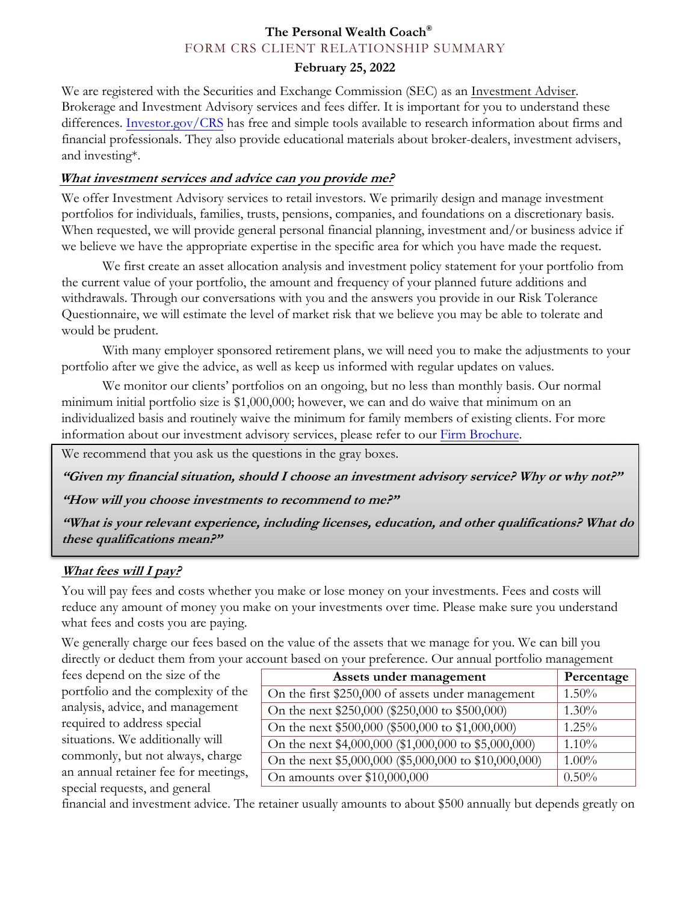# **The Personal Wealth Coach®** FORM CRS CLIENT RELATIONSHIP SUMMARY

## **February 25, 2022**

We are registered with the Securities and Exchange Commission (SEC) as an Investment Adviser. Brokerage and Investment Advisory services and fees differ. It is important for you to understand these differences. Investor.gov/CRS has free and simple tools available to research information about firms and financial professionals. They also provide educational materials about broker-dealers, investment advisers, and investing\*.

### **What investment services and advice can you provide me?**

We offer Investment Advisory services to retail investors. We primarily design and manage investment portfolios for individuals, families, trusts, pensions, companies, and foundations on a discretionary basis. When requested, we will provide general personal financial planning, investment and/or business advice if we believe we have the appropriate expertise in the specific area for which you have made the request.

We first create an asset allocation analysis and investment policy statement for your portfolio from the current value of your portfolio, the amount and frequency of your planned future additions and withdrawals. Through our conversations with you and the answers you provide in our Risk Tolerance Questionnaire, we will estimate the level of market risk that we believe you may be able to tolerate and would be prudent.

With many employer sponsored retirement plans, we will need you to make the adjustments to your portfolio after we give the advice, as well as keep us informed with regular updates on values.

We monitor our clients' portfolios on an ongoing, but no less than monthly basis. Our normal minimum initial portfolio size is \$1,000,000; however, we can and do waive that minimum on an individualized basis and routinely waive the minimum for family members of existing clients. For more information about our investment advisory services, please refer to our Firm Brochure.

We recommend that you ask us the questions in the gray boxes.

**"Given my financial situation, should I choose an investment advisory service? Why or why not?"** 

**"How will you choose investments to recommend to me?"** 

**"What is your relevant experience, including licenses, education, and other qualifications? What do these qualifications mean?"** 

# **What fees will I pay?**

You will pay fees and costs whether you make or lose money on your investments. Fees and costs will reduce any amount of money you make on your investments over time. Please make sure you understand what fees and costs you are paying.

We generally charge our fees based on the value of the assets that we manage for you. We can bill you directly or deduct them from your account based on your preference. Our annual portfolio management

fees depend on the size of the portfolio and the complexity of the analysis, advice, and management required to address special situations. We additionally will commonly, but not always, charge an annual retainer fee for meetings, special requests, and general

| Assets under management                               | Percentage |
|-------------------------------------------------------|------------|
| On the first \$250,000 of assets under management     | 1.50%      |
| On the next \$250,000 (\$250,000 to \$500,000)        | $1.30\%$   |
| On the next \$500,000 (\$500,000 to \$1,000,000)      | 1.25%      |
| On the next \$4,000,000 (\$1,000,000 to \$5,000,000)  | 1.10%      |
| On the next \$5,000,000 (\$5,000,000 to \$10,000,000) | $1.00\%$   |
| On amounts over \$10,000,000                          | $0.50\%$   |

financial and investment advice. The retainer usually amounts to about \$500 annually but depends greatly on